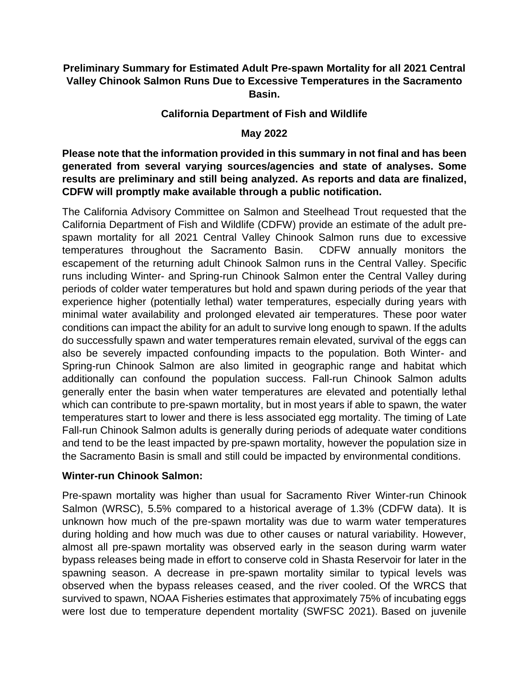### **Preliminary Summary for Estimated Adult Pre-spawn Mortality for all 2021 Central Valley Chinook Salmon Runs Due to Excessive Temperatures in the Sacramento Basin.**

### **California Department of Fish and Wildlife**

### **May 2022**

**Please note that the information provided in this summary in not final and has been generated from several varying sources/agencies and state of analyses. Some results are preliminary and still being analyzed. As reports and data are finalized, CDFW will promptly make available through a public notification.**

The California Advisory Committee on Salmon and Steelhead Trout requested that the California Department of Fish and Wildlife (CDFW) provide an estimate of the adult prespawn mortality for all 2021 Central Valley Chinook Salmon runs due to excessive temperatures throughout the Sacramento Basin. CDFW annually monitors the escapement of the returning adult Chinook Salmon runs in the Central Valley. Specific runs including Winter- and Spring-run Chinook Salmon enter the Central Valley during periods of colder water temperatures but hold and spawn during periods of the year that experience higher (potentially lethal) water temperatures, especially during years with minimal water availability and prolonged elevated air temperatures. These poor water conditions can impact the ability for an adult to survive long enough to spawn. If the adults do successfully spawn and water temperatures remain elevated, survival of the eggs can also be severely impacted confounding impacts to the population. Both Winter- and Spring-run Chinook Salmon are also limited in geographic range and habitat which additionally can confound the population success. Fall-run Chinook Salmon adults generally enter the basin when water temperatures are elevated and potentially lethal which can contribute to pre-spawn mortality, but in most years if able to spawn, the water temperatures start to lower and there is less associated egg mortality. The timing of Late Fall-run Chinook Salmon adults is generally during periods of adequate water conditions and tend to be the least impacted by pre-spawn mortality, however the population size in the Sacramento Basin is small and still could be impacted by environmental conditions.

#### **Winter-run Chinook Salmon:**

Pre-spawn mortality was higher than usual for Sacramento River Winter-run Chinook Salmon (WRSC), 5.5% compared to a historical average of 1.3% (CDFW data). It is unknown how much of the pre-spawn mortality was due to warm water temperatures during holding and how much was due to other causes or natural variability. However, almost all pre-spawn mortality was observed early in the season during warm water bypass releases being made in effort to conserve cold in Shasta Reservoir for later in the spawning season. A decrease in pre-spawn mortality similar to typical levels was observed when the bypass releases ceased, and the river cooled. Of the WRCS that survived to spawn, NOAA Fisheries estimates that approximately 75% of incubating eggs were lost due to temperature dependent mortality (SWFSC 2021). Based on juvenile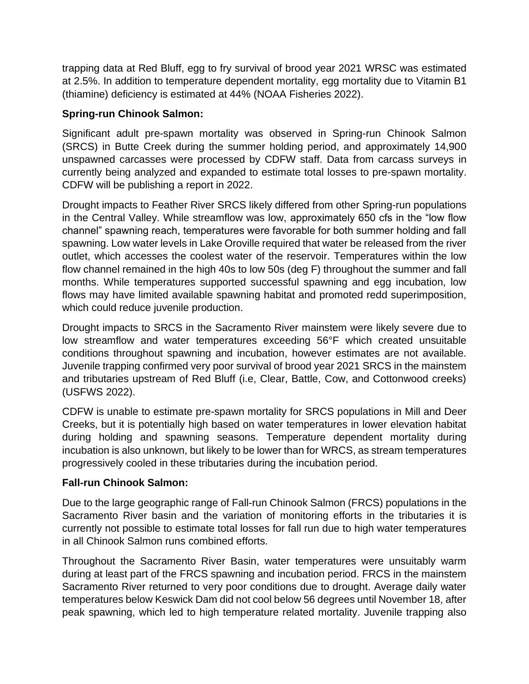trapping data at Red Bluff, egg to fry survival of brood year 2021 WRSC was estimated at 2.5%. In addition to temperature dependent mortality, egg mortality due to Vitamin B1 (thiamine) deficiency is estimated at 44% (NOAA Fisheries 2022).

### **Spring-run Chinook Salmon:**

Significant adult pre-spawn mortality was observed in Spring-run Chinook Salmon (SRCS) in Butte Creek during the summer holding period, and approximately 14,900 unspawned carcasses were processed by CDFW staff. Data from carcass surveys in currently being analyzed and expanded to estimate total losses to pre-spawn mortality. CDFW will be publishing a report in 2022.

Drought impacts to Feather River SRCS likely differed from other Spring-run populations in the Central Valley. While streamflow was low, approximately 650 cfs in the "low flow channel" spawning reach, temperatures were favorable for both summer holding and fall spawning. Low water levels in Lake Oroville required that water be released from the river outlet, which accesses the coolest water of the reservoir. Temperatures within the low flow channel remained in the high 40s to low 50s (deg F) throughout the summer and fall months. While temperatures supported successful spawning and egg incubation, low flows may have limited available spawning habitat and promoted redd superimposition, which could reduce juvenile production.

Drought impacts to SRCS in the Sacramento River mainstem were likely severe due to low streamflow and water temperatures exceeding 56°F which created unsuitable conditions throughout spawning and incubation, however estimates are not available. Juvenile trapping confirmed very poor survival of brood year 2021 SRCS in the mainstem and tributaries upstream of Red Bluff (i.e, Clear, Battle, Cow, and Cottonwood creeks) (USFWS 2022).

CDFW is unable to estimate pre-spawn mortality for SRCS populations in Mill and Deer Creeks, but it is potentially high based on water temperatures in lower elevation habitat during holding and spawning seasons. Temperature dependent mortality during incubation is also unknown, but likely to be lower than for WRCS, as stream temperatures progressively cooled in these tributaries during the incubation period.

# **Fall-run Chinook Salmon:**

Due to the large geographic range of Fall-run Chinook Salmon (FRCS) populations in the Sacramento River basin and the variation of monitoring efforts in the tributaries it is currently not possible to estimate total losses for fall run due to high water temperatures in all Chinook Salmon runs combined efforts.

Throughout the Sacramento River Basin, water temperatures were unsuitably warm during at least part of the FRCS spawning and incubation period. FRCS in the mainstem Sacramento River returned to very poor conditions due to drought. Average daily water temperatures below Keswick Dam did not cool below 56 degrees until November 18, after peak spawning, which led to high temperature related mortality. Juvenile trapping also